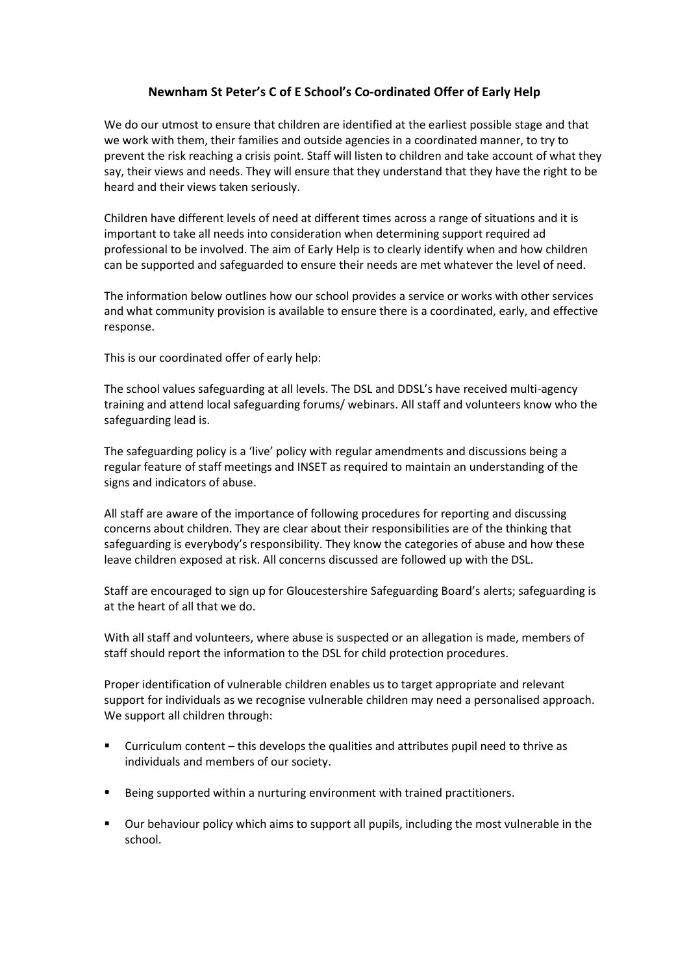## **Newnham St Peter's C of E School's Co-ordinated Offer of Early Help**

We do our utmost to ensure that children are identified at the earliest possible stage and that we work with them, their families and outside agencies in a coordinated manner, to try to prevent the risk reaching a crisis point. Staff will listen to children and take account of what they say, their views and needs. They will ensure that they understand that they have the right to be heard and their views taken seriously.

Children have different levels of need at different times across a range of situations and it is important to take all needs into consideration when determining support required ad professional to be involved. The aim of Early Help is to clearly identify when and how children can be supported and safeguarded to ensure their needs are met whatever the level of need.

The information below outlines how our school provides a service or works with other services and what community provision is available to ensure there is a coordinated, early, and effective response.

This is our coordinated offer of early help:

The school values safeguarding at all levels. The DSL and DDSL's have received multi-agency training and attend local safeguarding forums/ webinars. All staff and volunteers know who the safeguarding lead is.

The safeguarding policy is a 'live' policy with regular amendments and discussions being a regular feature of staff meetings and INSET as required to maintain an understanding of the signs and indicators of abuse.

All staff are aware of the importance of following procedures for reporting and discussing concerns about children. They are clear about their responsibilities are of the thinking that safeguarding is everybody's responsibility. They know the categories of abuse and how these leave children exposed at risk. All concerns discussed are followed up with the DSL.

Staff are encouraged to sign up for Gloucestershire Safeguarding Board's alerts; safeguarding is at the heart of all that we do.

With all staff and volunteers, where abuse is suspected or an allegation is made, members of staff should report the information to the DSL for child protection procedures.

Proper identification of vulnerable children enables us to target appropriate and relevant support for individuals as we recognise vulnerable children may need a personalised approach. We support all children through:

- Curriculum content this develops the qualities and attributes pupil need to thrive as individuals and members of our society.
- Being supported within a nurturing environment with trained practitioners.
- Our behaviour policy which aims to support all pupils, including the most vulnerable in the school.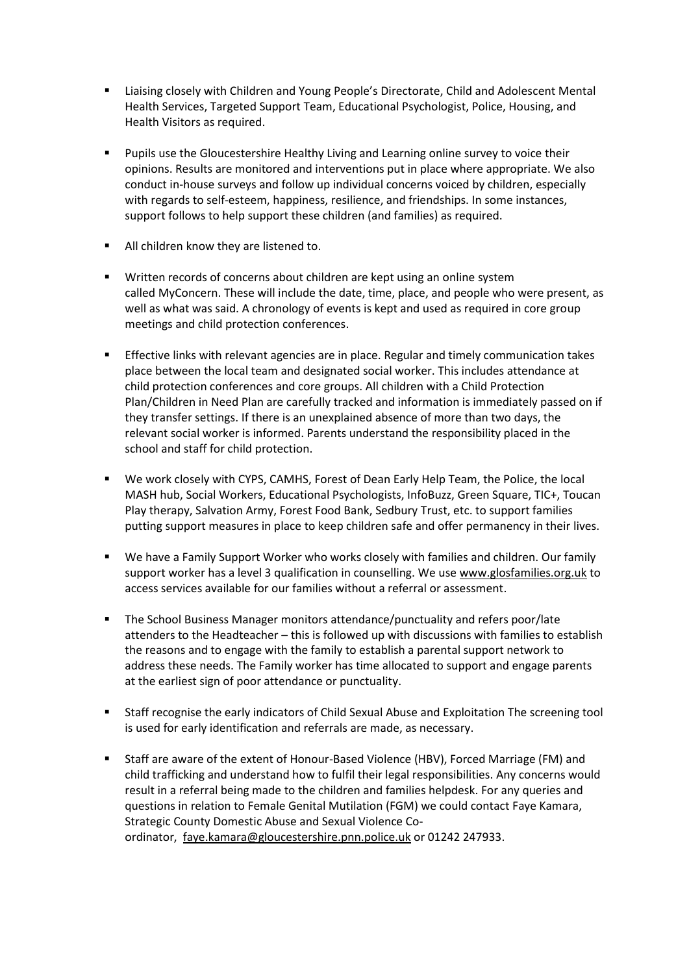- Liaising closely with Children and Young People's Directorate, Child and Adolescent Mental Health Services, Targeted Support Team, Educational Psychologist, Police, Housing, and Health Visitors as required.
- Pupils use the Gloucestershire Healthy Living and Learning online survey to voice their opinions. Results are monitored and interventions put in place where appropriate. We also conduct in-house surveys and follow up individual concerns voiced by children, especially with regards to self-esteem, happiness, resilience, and friendships. In some instances, support follows to help support these children (and families) as required.
- All children know they are listened to.
- **Written records of concerns about children are kept using an online system** called MyConcern. These will include the date, time, place, and people who were present, as well as what was said. A chronology of events is kept and used as required in core group meetings and child protection conferences.
- Effective links with relevant agencies are in place. Regular and timely communication takes place between the local team and designated social worker. This includes attendance at child protection conferences and core groups. All children with a Child Protection Plan/Children in Need Plan are carefully tracked and information is immediately passed on if they transfer settings. If there is an unexplained absence of more than two days, the relevant social worker is informed. Parents understand the responsibility placed in the school and staff for child protection.
- We work closely with CYPS, CAMHS, Forest of Dean Early Help Team, the Police, the local MASH hub, Social Workers, Educational Psychologists, InfoBuzz, Green Square, TIC+, Toucan Play therapy, Salvation Army, Forest Food Bank, Sedbury Trust, etc. to support families putting support measures in place to keep children safe and offer permanency in their lives.
- We have a Family Support Worker who works closely with families and children. Our family support worker has a level 3 qualification in counselling. We use [www.glosfamilies.org.uk](http://www.glosfamilies.org.uk/) to access services available for our families without a referral or assessment.
- The School Business Manager monitors attendance/punctuality and refers poor/late attenders to the Headteacher – this is followed up with discussions with families to establish the reasons and to engage with the family to establish a parental support network to address these needs. The Family worker has time allocated to support and engage parents at the earliest sign of poor attendance or punctuality.
- Staff recognise the early indicators of Child Sexual Abuse and Exploitation The screening tool is used for early identification and referrals are made, as necessary.
- Staff are aware of the extent of Honour-Based Violence (HBV), Forced Marriage (FM) and child trafficking and understand how to fulfil their legal responsibilities. Any concerns would result in a referral being made to the children and families helpdesk. For any queries and questions in relation to Female Genital Mutilation (FGM) we could contact Faye Kamara, Strategic County Domestic Abuse and Sexual Violence Coordinator, [faye.kamara@gloucestershire.pnn.police.uk](mailto:faye.kamara@gloucestershire.pnn.police.uk) or 01242 247933.